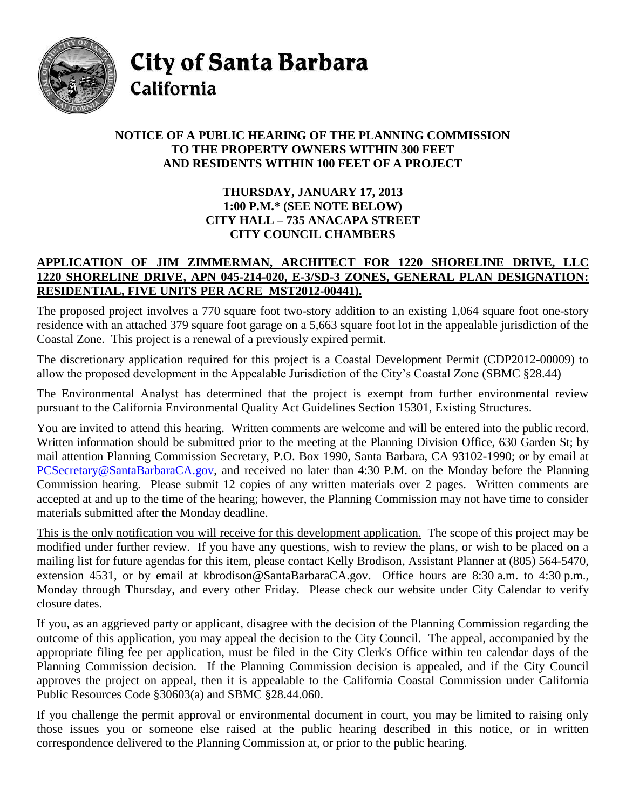

City of Santa Barbara California

## **NOTICE OF A PUBLIC HEARING OF THE PLANNING COMMISSION TO THE PROPERTY OWNERS WITHIN 300 FEET AND RESIDENTS WITHIN 100 FEET OF A PROJECT**

## **THURSDAY, JANUARY 17, 2013 1:00 P.M.\* (SEE NOTE BELOW) CITY HALL – 735 ANACAPA STREET CITY COUNCIL CHAMBERS**

## **APPLICATION OF JIM ZIMMERMAN, ARCHITECT FOR 1220 SHORELINE DRIVE, LLC 1220 SHORELINE DRIVE, APN 045-214-020, E-3/SD-3 ZONES, GENERAL PLAN DESIGNATION: RESIDENTIAL, FIVE UNITS PER ACRE MST2012-00441).**

The proposed project involves a 770 square foot two-story addition to an existing 1,064 square foot one-story residence with an attached 379 square foot garage on a 5,663 square foot lot in the appealable jurisdiction of the Coastal Zone. This project is a renewal of a previously expired permit.

The discretionary application required for this project is a Coastal Development Permit (CDP2012-00009) to allow the proposed development in the Appealable Jurisdiction of the City's Coastal Zone (SBMC §28.44)

The Environmental Analyst has determined that the project is exempt from further environmental review pursuant to the California Environmental Quality Act Guidelines Section 15301, Existing Structures.

You are invited to attend this hearing. Written comments are welcome and will be entered into the public record. Written information should be submitted prior to the meeting at the Planning Division Office, 630 Garden St; by mail attention Planning Commission Secretary, P.O. Box 1990, Santa Barbara, CA 93102-1990; or by email at [PCSecretary@SantaBarbaraCA.gov,](mailto:PCSecretary@SantaBarbaraCA.gov) and received no later than 4:30 P.M. on the Monday before the Planning Commission hearing. Please submit 12 copies of any written materials over 2 pages. Written comments are accepted at and up to the time of the hearing; however, the Planning Commission may not have time to consider materials submitted after the Monday deadline.

This is the only notification you will receive for this development application. The scope of this project may be modified under further review. If you have any questions, wish to review the plans, or wish to be placed on a mailing list for future agendas for this item, please contact Kelly Brodison, Assistant Planner at (805) 564-5470, extension 4531, or by email at kbrodison@SantaBarbaraCA.gov. Office hours are 8:30 a.m. to 4:30 p.m., Monday through Thursday, and every other Friday. Please check our website under City Calendar to verify closure dates.

If you, as an aggrieved party or applicant, disagree with the decision of the Planning Commission regarding the outcome of this application, you may appeal the decision to the City Council. The appeal, accompanied by the appropriate filing fee per application, must be filed in the City Clerk's Office within ten calendar days of the Planning Commission decision. If the Planning Commission decision is appealed, and if the City Council approves the project on appeal, then it is appealable to the California Coastal Commission under California Public Resources Code §30603(a) and SBMC §28.44.060.

If you challenge the permit approval or environmental document in court, you may be limited to raising only those issues you or someone else raised at the public hearing described in this notice, or in written correspondence delivered to the Planning Commission at, or prior to the public hearing.